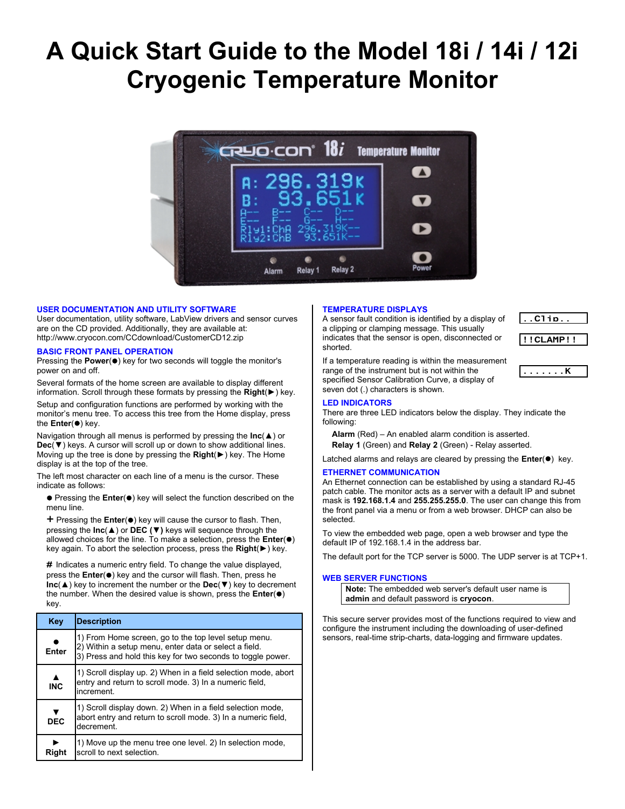# **A Quick Start Guide to the Model 18i / 14i / 12i Cryogenic Temperature Monitor**



#### **USER DOCUMENTATION AND UTILITY SOFTWARE**

User documentation, utility software, LabView drivers and sensor curves are on the CD provided. Additionally, they are available at: http://www.cryocon.com/CCdownload/CustomerCD12.zip

#### **BASIC FRONT PANEL OPERATION**

Pressing the **Power**( $\bullet$ ) key for two seconds will toggle the monitor's power on and off.

Several formats of the home screen are available to display different information. Scroll through these formats by pressing the **Right**(**►**) key.

Setup and configuration functions are performed by working with the monitor's menu tree. To access this tree from the Home display, press the **Enter**( $\bullet$ ) key.

Navigation through all menus is performed by pressing the **Inc**(**▲**) or **Dec**(**▼**) keys. A cursor will scroll up or down to show additional lines. Moving up the tree is done by pressing the **Right**(**►**) key. The Home display is at the top of the tree.

The left most character on each line of a menu is the cursor. These indicate as follows:

**•** Pressing the Enter(•) key will select the function described on the menu line.

**+** Pressing the **Enter**(●) key will cause the cursor to flash. Then, pressing the **Inc**(**▲**) or **DEC (▼)** keys will sequence through the allowed choices for the line. To make a selection, press the **Enter**( $\bullet$ ) key again. To abort the selection process, press the **Right**(**►**) key.

# Indicates a numeric entry field. To change the value displayed, press the **Enter**( $\bullet$ ) key and the cursor will flash. Then, press he **Inc**(**▲**) key to increment the number or the **Dec**(**▼**) key to decrement the number. When the desired value is shown, press the **Enter**( $\bullet$ ) key.

| Key                            | <b>Description</b>                                                                                                                                                           |  |
|--------------------------------|------------------------------------------------------------------------------------------------------------------------------------------------------------------------------|--|
| Enter                          | 1) From Home screen, go to the top level setup menu.<br>2) Within a setup menu, enter data or select a field.<br>3) Press and hold this key for two seconds to toggle power. |  |
| $\blacktriangle$<br><b>INC</b> | 1) Scroll display up. 2) When in a field selection mode, abort<br>entry and return to scroll mode. 3) In a numeric field,<br>increment.                                      |  |
| ▼<br><b>DEC</b>                | 1) Scroll display down. 2) When in a field selection mode,<br>abort entry and return to scroll mode. 3) In a numeric field,<br>decrement.                                    |  |
| Riaht                          | 1) Move up the menu tree one level. 2) In selection mode,<br>scroll to next selection.                                                                                       |  |

#### **TEMPERATURE DISPLAYS**

A sensor fault condition is identified by a display of a clipping or clamping message. This usually indicates that the sensor is open, disconnected or shorted.

 $.$ Clip. !!CLAMP!!

If a temperature reading is within the measurement range of the instrument but is not within the specified Sensor Calibration Curve, a display of seven dot (.) characters is shown.  $\ldots \ldots K$ 

### **LED INDICATORS**

There are three LED indicators below the display. They indicate the following:

**Alarm** (Red) – An enabled alarm condition is asserted. **Relay 1** (Green) and **Relay 2** (Green) - Relay asserted.

Latched alarms and relays are cleared by pressing the **Enter**( $\bullet$ ) key.

# **ETHERNET COMMUNICATION**

An Ethernet connection can be established by using a standard RJ-45 patch cable. The monitor acts as a server with a default IP and subnet mask is **192.168.1.4** and **255.255.255.0**. The user can change this from the front panel via a menu or from a web browser. DHCP can also be selected.

To view the embedded web page, open a web browser and type the default IP of 192.168.1.4 in the address bar.

The default port for the TCP server is 5000. The UDP server is at TCP+1.

#### **WEB SERVER FUNCTIONS**

**Note:** The embedded web server's default user name is **admin** and default password is **cryocon**.

This secure server provides most of the functions required to view and configure the instrument including the downloading of user-defined sensors, real-time strip-charts, data-logging and firmware updates.